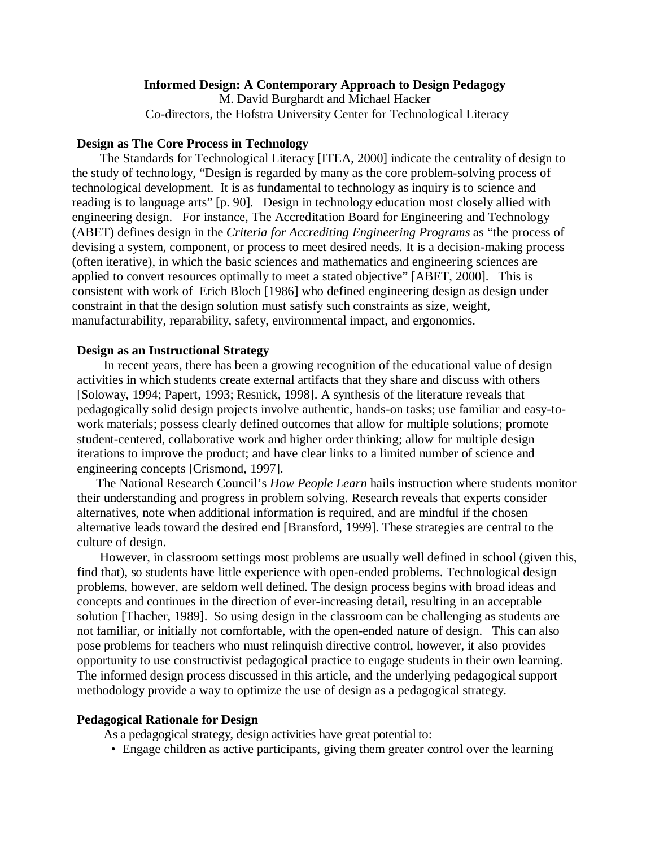### **Informed Design: A Contemporary Approach to Design Pedagogy**

M. David Burghardt and Michael Hacker Co-directors, the Hofstra University Center for Technological Literacy

### **Design as The Core Process in Technology**

The Standards for Technological Literacy [ITEA, 2000] indicate the centrality of design to the study of technology, "Design is regarded by many as the core problem-solving process of technological development. It is as fundamental to technology as inquiry is to science and reading is to language arts" [p. 90]. Design in technology education most closely allied with engineering design. For instance, The Accreditation Board for Engineering and Technology (ABET) defines design in the *Criteria for Accrediting Engineering Programs* as "the process of devising a system, component, or process to meet desired needs. It is a decision-making process (often iterative), in which the basic sciences and mathematics and engineering sciences are applied to convert resources optimally to meet a stated objective" [ABET, 2000]. This is consistent with work of Erich Bloch [1986] who defined engineering design as design under constraint in that the design solution must satisfy such constraints as size, weight, manufacturability, reparability, safety, environmental impact, and ergonomics.

#### **Design as an Instructional Strategy**

In recent years, there has been a growing recognition of the educational value of design activities in which students create external artifacts that they share and discuss with others [Soloway, 1994; Papert, 1993; Resnick, 1998]. A synthesis of the literature reveals that pedagogically solid design projects involve authentic, hands-on tasks; use familiar and easy-towork materials; possess clearly defined outcomes that allow for multiple solutions; promote student-centered, collaborative work and higher order thinking; allow for multiple design iterations to improve the product; and have clear links to a limited number of science and engineering concepts [Crismond, 1997].

The National Research Council's *How People Learn* hails instruction where students monitor their understanding and progress in problem solving. Research reveals that experts consider alternatives, note when additional information is required, and are mindful if the chosen alternative leads toward the desired end [Bransford, 1999]. These strategies are central to the culture of design.

However, in classroom settings most problems are usually well defined in school (given this, find that), so students have little experience with open-ended problems. Technological design problems, however, are seldom well defined. The design process begins with broad ideas and concepts and continues in the direction of ever-increasing detail, resulting in an acceptable solution [Thacher, 1989]. So using design in the classroom can be challenging as students are not familiar, or initially not comfortable, with the open-ended nature of design. This can also pose problems for teachers who must relinquish directive control, however, it also provides opportunity to use constructivist pedagogical practice to engage students in their own learning. The informed design process discussed in this article, and the underlying pedagogical support methodology provide a way to optimize the use of design as a pedagogical strategy.

### **Pedagogical Rationale for Design**

As a pedagogical strategy, design activities have great potential to:

• Engage children as active participants, giving them greater control over the learning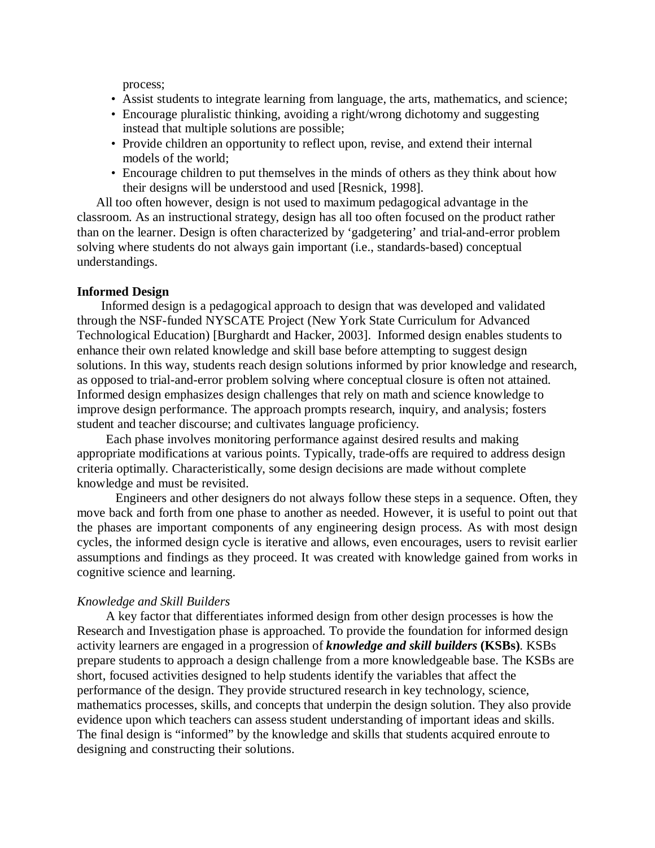process;

- Assist students to integrate learning from language, the arts, mathematics, and science;
- Encourage pluralistic thinking, avoiding a right/wrong dichotomy and suggesting instead that multiple solutions are possible;
- Provide children an opportunity to reflect upon, revise, and extend their internal models of the world;
- Encourage children to put themselves in the minds of others as they think about how their designs will be understood and used [Resnick, 1998].

 All too often however, design is not used to maximum pedagogical advantage in the classroom. As an instructional strategy, design has all too often focused on the product rather than on the learner. Design is often characterized by 'gadgetering' and trial-and-error problem solving where students do not always gain important (i.e., standards-based) conceptual understandings.

#### **Informed Design**

Informed design is a pedagogical approach to design that was developed and validated through the NSF-funded NYSCATE Project (New York State Curriculum for Advanced Technological Education) [Burghardt and Hacker, 2003]. Informed design enables students to enhance their own related knowledge and skill base before attempting to suggest design solutions. In this way, students reach design solutions informed by prior knowledge and research, as opposed to trial-and-error problem solving where conceptual closure is often not attained. Informed design emphasizes design challenges that rely on math and science knowledge to improve design performance. The approach prompts research, inquiry, and analysis; fosters student and teacher discourse; and cultivates language proficiency.

 Each phase involves monitoring performance against desired results and making appropriate modifications at various points. Typically, trade-offs are required to address design criteria optimally. Characteristically, some design decisions are made without complete knowledge and must be revisited.

 Engineers and other designers do not always follow these steps in a sequence. Often, they move back and forth from one phase to another as needed. However, it is useful to point out that the phases are important components of any engineering design process. As with most design cycles, the informed design cycle is iterative and allows, even encourages, users to revisit earlier assumptions and findings as they proceed. It was created with knowledge gained from works in cognitive science and learning.

#### *Knowledge and Skill Builders*

 A key factor that differentiates informed design from other design processes is how the Research and Investigation phase is approached. To provide the foundation for informed design activity learners are engaged in a progression of *knowledge and skill builders* **(KSBs)**. KSBs prepare students to approach a design challenge from a more knowledgeable base. The KSBs are short, focused activities designed to help students identify the variables that affect the performance of the design. They provide structured research in key technology, science, mathematics processes, skills, and concepts that underpin the design solution. They also provide evidence upon which teachers can assess student understanding of important ideas and skills. The final design is "informed" by the knowledge and skills that students acquired enroute to designing and constructing their solutions.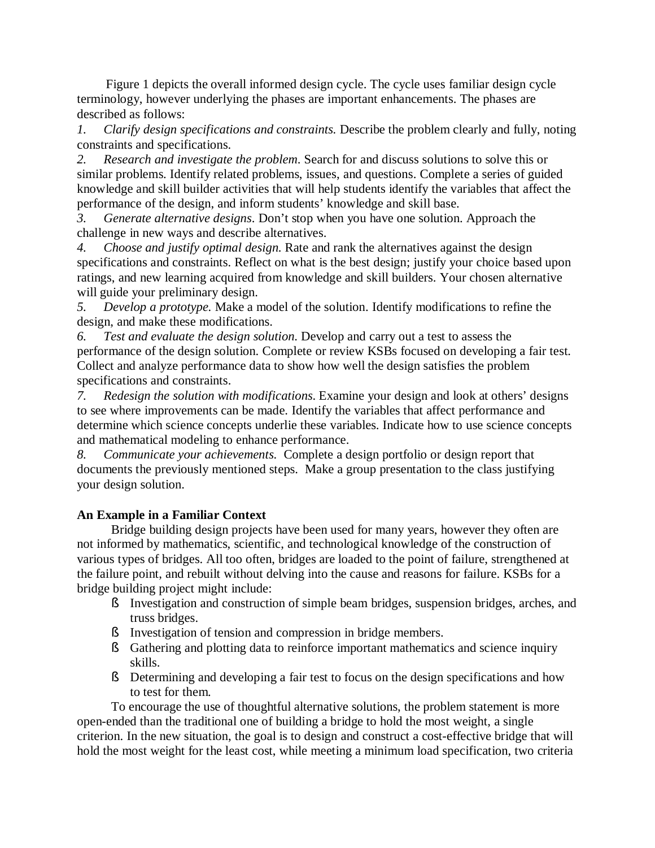Figure 1 depicts the overall informed design cycle. The cycle uses familiar design cycle terminology, however underlying the phases are important enhancements. The phases are described as follows:

*1. Clarify design specifications and constraints.* Describe the problem clearly and fully, noting constraints and specifications.

*2. Research and investigate the problem*. Search for and discuss solutions to solve this or similar problems. Identify related problems, issues, and questions. Complete a series of guided knowledge and skill builder activities that will help students identify the variables that affect the performance of the design, and inform students' knowledge and skill base.

*3. Generate alternative designs*. Don't stop when you have one solution. Approach the challenge in new ways and describe alternatives.

*4. Choose and justify optimal design.* Rate and rank the alternatives against the design specifications and constraints. Reflect on what is the best design; justify your choice based upon ratings, and new learning acquired from knowledge and skill builders. Your chosen alternative will guide your preliminary design.

*5. Develop a prototype.* Make a model of the solution. Identify modifications to refine the design, and make these modifications.

*6. Test and evaluate the design solution*. Develop and carry out a test to assess the performance of the design solution. Complete or review KSBs focused on developing a fair test. Collect and analyze performance data to show how well the design satisfies the problem specifications and constraints.

*7. Redesign the solution with modifications*. Examine your design and look at others' designs to see where improvements can be made. Identify the variables that affect performance and determine which science concepts underlie these variables. Indicate how to use science concepts and mathematical modeling to enhance performance.

*8. Communicate your achievements.* Complete a design portfolio or design report that documents the previously mentioned steps. Make a group presentation to the class justifying your design solution.

# **An Example in a Familiar Context**

Bridge building design projects have been used for many years, however they often are not informed by mathematics, scientific, and technological knowledge of the construction of various types of bridges. All too often, bridges are loaded to the point of failure, strengthened at the failure point, and rebuilt without delving into the cause and reasons for failure. KSBs for a bridge building project might include:

- § Investigation and construction of simple beam bridges, suspension bridges, arches, and truss bridges.
- § Investigation of tension and compression in bridge members.
- § Gathering and plotting data to reinforce important mathematics and science inquiry skills.
- § Determining and developing a fair test to focus on the design specifications and how to test for them.

To encourage the use of thoughtful alternative solutions, the problem statement is more open-ended than the traditional one of building a bridge to hold the most weight, a single criterion. In the new situation, the goal is to design and construct a cost-effective bridge that will hold the most weight for the least cost, while meeting a minimum load specification, two criteria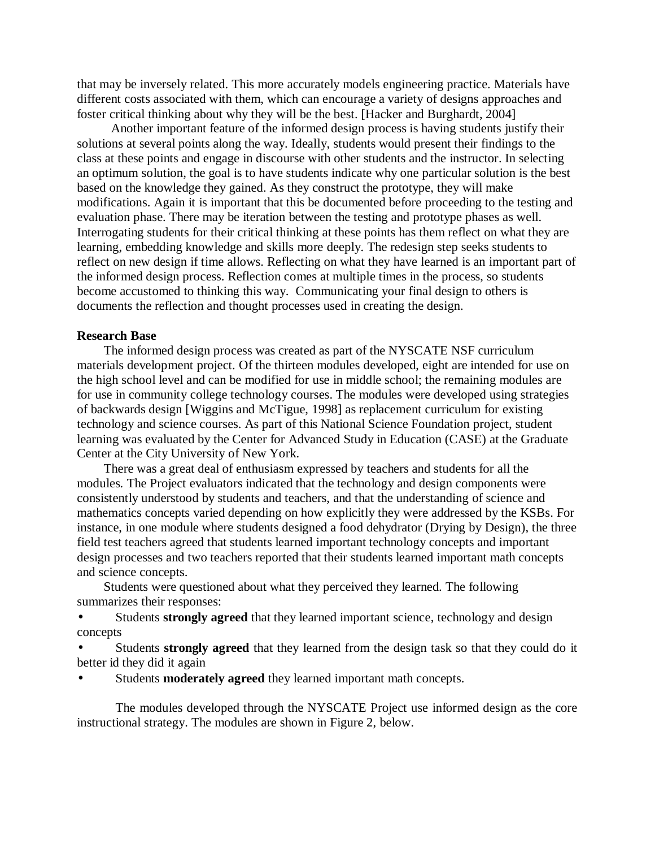that may be inversely related. This more accurately models engineering practice. Materials have different costs associated with them, which can encourage a variety of designs approaches and foster critical thinking about why they will be the best. [Hacker and Burghardt, 2004]

Another important feature of the informed design process is having students justify their solutions at several points along the way. Ideally, students would present their findings to the class at these points and engage in discourse with other students and the instructor. In selecting an optimum solution, the goal is to have students indicate why one particular solution is the best based on the knowledge they gained. As they construct the prototype, they will make modifications. Again it is important that this be documented before proceeding to the testing and evaluation phase. There may be iteration between the testing and prototype phases as well. Interrogating students for their critical thinking at these points has them reflect on what they are learning, embedding knowledge and skills more deeply. The redesign step seeks students to reflect on new design if time allows. Reflecting on what they have learned is an important part of the informed design process. Reflection comes at multiple times in the process, so students become accustomed to thinking this way. Communicating your final design to others is documents the reflection and thought processes used in creating the design.

### **Research Base**

The informed design process was created as part of the NYSCATE NSF curriculum materials development project. Of the thirteen modules developed, eight are intended for use on the high school level and can be modified for use in middle school; the remaining modules are for use in community college technology courses. The modules were developed using strategies of backwards design [Wiggins and McTigue, 1998] as replacement curriculum for existing technology and science courses. As part of this National Science Foundation project, student learning was evaluated by the Center for Advanced Study in Education (CASE) at the Graduate Center at the City University of New York.

There was a great deal of enthusiasm expressed by teachers and students for all the modules. The Project evaluators indicated that the technology and design components were consistently understood by students and teachers, and that the understanding of science and mathematics concepts varied depending on how explicitly they were addressed by the KSBs. For instance, in one module where students designed a food dehydrator (Drying by Design), the three field test teachers agreed that students learned important technology concepts and important design processes and two teachers reported that their students learned important math concepts and science concepts.

Students were questioned about what they perceived they learned. The following summarizes their responses:

• Students **strongly agreed** that they learned important science, technology and design concepts

• Students **strongly agreed** that they learned from the design task so that they could do it better id they did it again

Students **moderately agreed** they learned important math concepts.

The modules developed through the NYSCATE Project use informed design as the core instructional strategy. The modules are shown in Figure 2, below.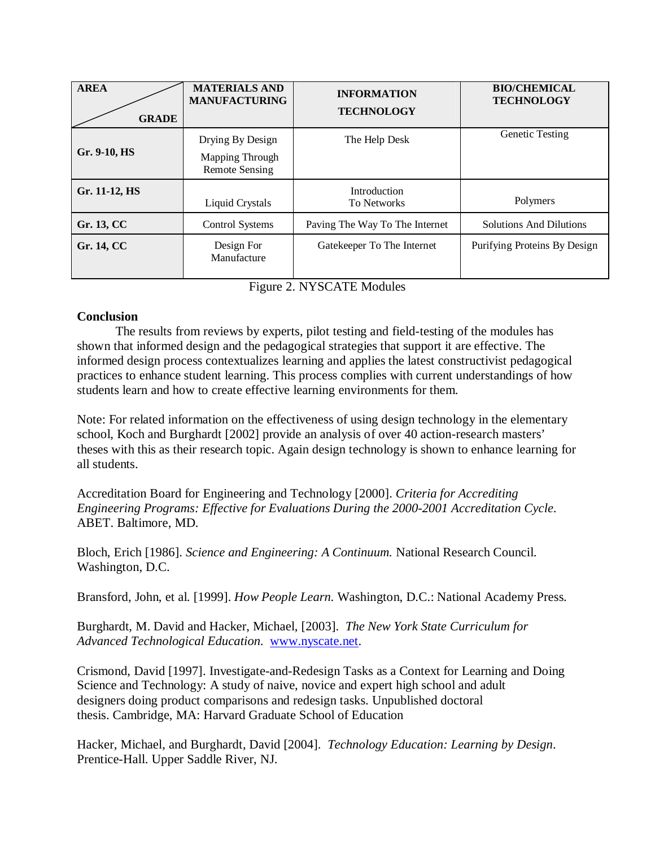| <b>AREA</b><br><b>GRADE</b> | <b>MATERIALS AND</b><br><b>MANUFACTURING</b>                 | <b>INFORMATION</b><br><b>TECHNOLOGY</b> | <b>BIO/CHEMICAL</b><br><b>TECHNOLOGY</b> |
|-----------------------------|--------------------------------------------------------------|-----------------------------------------|------------------------------------------|
| Gr. 9-10, HS                | Drying By Design<br>Mapping Through<br><b>Remote Sensing</b> | The Help Desk                           | Genetic Testing                          |
| Gr. 11-12, HS               | <b>Liquid Crystals</b>                                       | Introduction<br><b>To Networks</b>      | Polymers                                 |
| Gr. 13, CC                  | <b>Control Systems</b>                                       | Paving The Way To The Internet          | <b>Solutions And Dilutions</b>           |
| Gr. 14, CC                  | Design For<br>Manufacture                                    | Gatekeeper To The Internet              | Purifying Proteins By Design             |

Figure 2. NYSCATE Modules

## **Conclusion**

The results from reviews by experts, pilot testing and field-testing of the modules has shown that informed design and the pedagogical strategies that support it are effective. The informed design process contextualizes learning and applies the latest constructivist pedagogical practices to enhance student learning. This process complies with current understandings of how students learn and how to create effective learning environments for them.

Note: For related information on the effectiveness of using design technology in the elementary school, Koch and Burghardt [2002] provide an analysis of over 40 action-research masters' theses with this as their research topic. Again design technology is shown to enhance learning for all students.

Accreditation Board for Engineering and Technology [2000]. *Criteria for Accrediting Engineering Programs: Effective for Evaluations During the 2000-2001 Accreditation Cycle*. ABET. Baltimore, MD.

Bloch, Erich [1986]. *Science and Engineering: A Continuum.* National Research Council. Washington, D.C.

Bransford, John, et al. [1999]. *How People Learn.* Washington, D.C.: National Academy Press.

Burghardt, M. David and Hacker, Michael, [2003]. *The New York State Curriculum for Advanced Technological Education*. [www.nyscate.net.](http://www.nyscate.net)

Crismond, David [1997]. Investigate-and-Redesign Tasks as a Context for Learning and Doing Science and Technology: A study of naive, novice and expert high school and adult designers doing product comparisons and redesign tasks. Unpublished doctoral thesis. Cambridge, MA: Harvard Graduate School of Education

Hacker, Michael, and Burghardt, David [2004]. *Technology Education: Learning by Design*. Prentice-Hall. Upper Saddle River, NJ.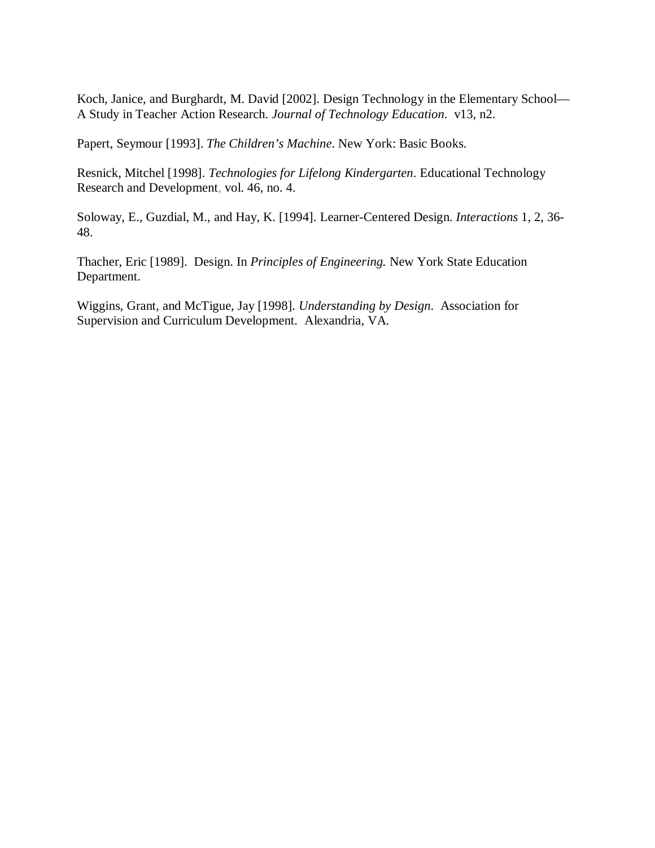Koch, Janice, and Burghardt, M. David [2002]. Design Technology in the Elementary School— A Study in Teacher Action Research. *Journal of Technology Education*. v13, n2.

Papert, Seymour [1993]. *The Children's Machine*. New York: Basic Books.

Resnick, Mitchel [1998]. *Technologies for Lifelong Kindergarten*. Educational Technology Research and Development, vol. 46, no. 4.

Soloway, E., Guzdial, M., and Hay, K. [1994]. Learner-Centered Design. *Interactions* 1, 2, 36- 48.

Thacher, Eric [1989]. Design. In *Principles of Engineering.* New York State Education Department.

Wiggins, Grant, and McTigue, Jay [1998]. *Understanding by Design*. Association for Supervision and Curriculum Development. Alexandria, VA.